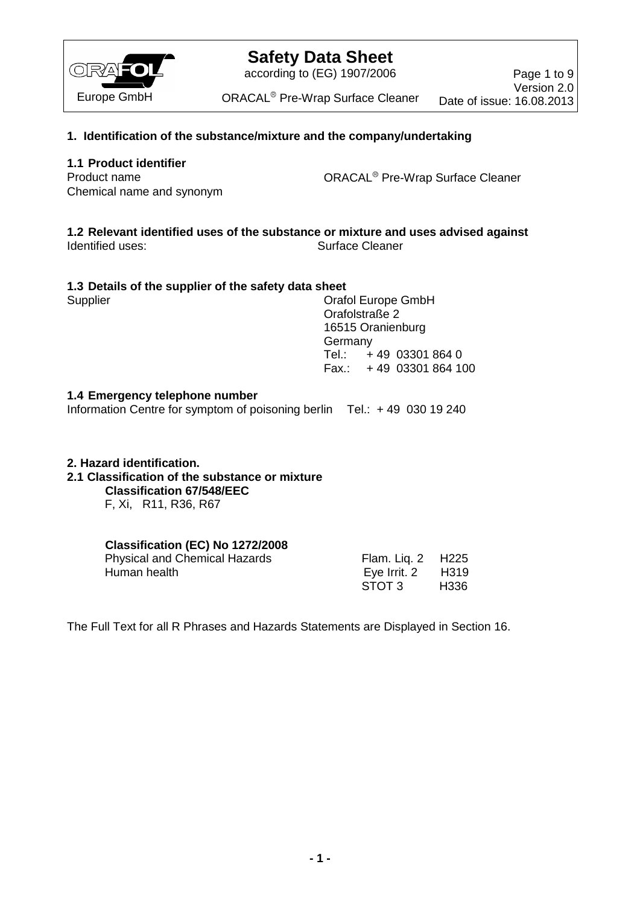

according to (EG) 1907/2006

Page 1 to 9 Version 2.0 Date of issue: 16.08.2013

ORACAL<sup>®</sup> Pre-Wrap Surface Cleaner

## **1. Identification of the substance/mixture and the company/undertaking**

## **1.1 Product identifier**

Chemical name and synonym

Product name **CENETA CORACAL<sup>®</sup> Pre-Wrap Surface Cleaner** 

**1.2 Relevant identified uses of the substance or mixture and uses advised against** Surface Cleaner

|  |  |  | 1.3 Details of the supplier of the safety data sheet |  |  |  |  |
|--|--|--|------------------------------------------------------|--|--|--|--|
|--|--|--|------------------------------------------------------|--|--|--|--|

| Supplier | <b>Orafol Europe GmbH</b> |
|----------|---------------------------|
|          | Orafolstraße 2            |
|          | 16515 Oranienburg         |
|          | Germany                   |
|          | Tel.: $+49$ 03301 864 0   |
|          | Fax.: +49 03301 864 100   |
|          |                           |

#### **1.4 Emergency telephone number**

Information Centre for symptom of poisoning berlin Tel.: + 49 030 19 240

#### **2. Hazard identification.**

**2.1 Classification of the substance or mixture Classification 67/548/EEC** F, Xi, R11, R36, R67

#### **Classification (EC) No 1272/2008**

| Physical and Chemical Hazards | Flam. Lig. 2 H225   |      |
|-------------------------------|---------------------|------|
| Human health                  | Eye Irrit. $2$ H319 |      |
|                               | STOT 3              | H336 |

The Full Text for all R Phrases and Hazards Statements are Displayed in Section 16.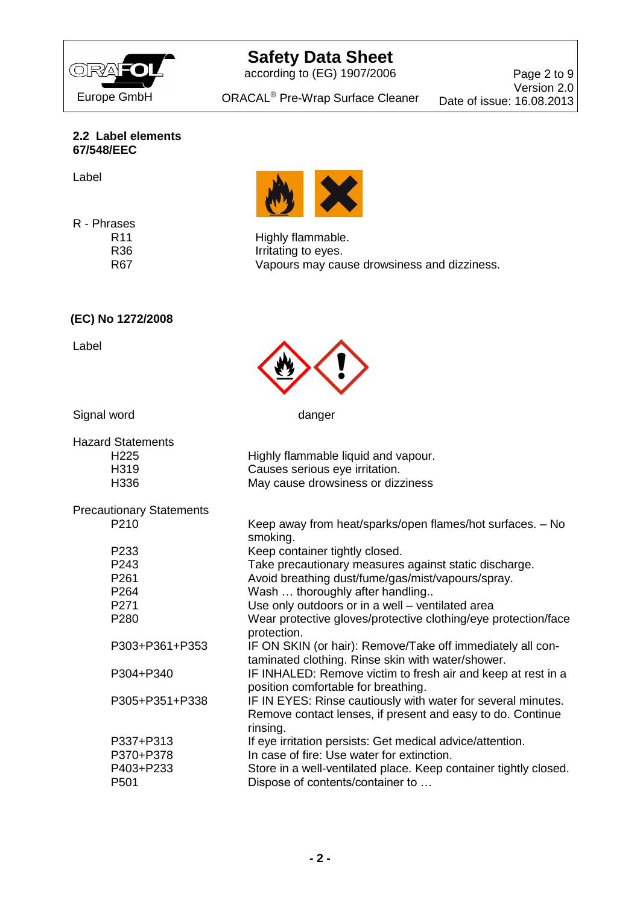

according to (EG) 1907/2006

Page 2 to 9 Version 2.0 Date of issue: 16.08.2013

ORACAL<sup>®</sup> Pre-Wrap Surface Cleaner

**2.2 Label elements 67/548/EEC**

Label

R - Phrases



R11 Highly flammable. R36 Irritating to eyes.<br>R67 Vapours may cau Vapours may cause drowsiness and dizziness.

# **(EC) No 1272/2008**

Label



Signal word and the state of the danger

| <b>Hazard Statements</b>        |                                                                                                                                        |
|---------------------------------|----------------------------------------------------------------------------------------------------------------------------------------|
| H <sub>225</sub>                | Highly flammable liquid and vapour.                                                                                                    |
| H319                            | Causes serious eye irritation.                                                                                                         |
| H336                            | May cause drowsiness or dizziness                                                                                                      |
| <b>Precautionary Statements</b> |                                                                                                                                        |
| P <sub>210</sub>                | Keep away from heat/sparks/open flames/hot surfaces. - No<br>smoking.                                                                  |
| P <sub>233</sub>                | Keep container tightly closed.                                                                                                         |
| P <sub>243</sub>                | Take precautionary measures against static discharge.                                                                                  |
| P261                            | Avoid breathing dust/fume/gas/mist/vapours/spray.                                                                                      |
| P264                            | Wash  thoroughly after handling                                                                                                        |
| P271                            | Use only outdoors or in a well - ventilated area                                                                                       |
| P <sub>280</sub>                | Wear protective gloves/protective clothing/eye protection/face<br>protection.                                                          |
| P303+P361+P353                  | IF ON SKIN (or hair): Remove/Take off immediately all con-<br>taminated clothing. Rinse skin with water/shower.                        |
| P304+P340                       | IF INHALED: Remove victim to fresh air and keep at rest in a<br>position comfortable for breathing.                                    |
| P305+P351+P338                  | IF IN EYES: Rinse cautiously with water for several minutes.<br>Remove contact lenses, if present and easy to do. Continue<br>rinsing. |
| P337+P313                       | If eye irritation persists: Get medical advice/attention.                                                                              |
| P370+P378                       | In case of fire: Use water for extinction.                                                                                             |
| P403+P233                       | Store in a well-ventilated place. Keep container tightly closed.                                                                       |
| P <sub>501</sub>                | Dispose of contents/container to                                                                                                       |
|                                 |                                                                                                                                        |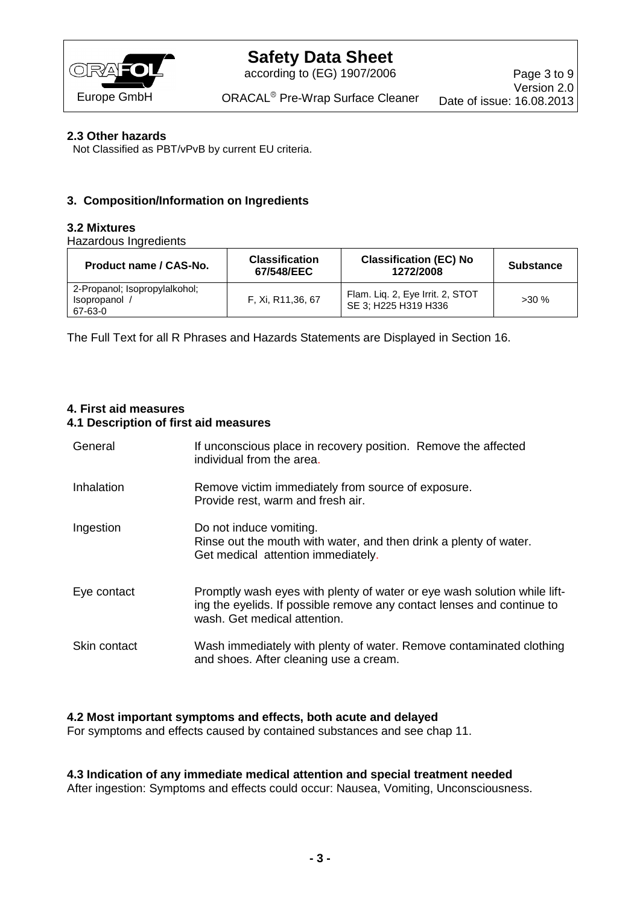

according to (EG) 1907/2006

ORACAL<sup>®</sup> Pre-Wrap Surface Cleaner

## **2.3 Other hazards**

Not Classified as PBT/vPvB by current EU criteria.

# **3. Composition/Information on Ingredients**

## **3.2 Mixtures**

Hazardous Ingredients

| Product name / CAS-No.                                    | <b>Classification</b><br>67/548/EEC | <b>Classification (EC) No</b><br>1272/2008               | <b>Substance</b> |
|-----------------------------------------------------------|-------------------------------------|----------------------------------------------------------|------------------|
| 2-Propanol; Isopropylalkohol;<br>Isopropanol /<br>67-63-0 | F. Xi, R11,36, 67                   | Flam. Lig. 2, Eye Irrit. 2, STOT<br>SE 3; H225 H319 H336 | $>30\%$          |

The Full Text for all R Phrases and Hazards Statements are Displayed in Section 16.

# **4. First aid measures**

## **4.1 Description of first aid measures**

| General      | If unconscious place in recovery position. Remove the affected<br>individual from the area.                                                                                        |
|--------------|------------------------------------------------------------------------------------------------------------------------------------------------------------------------------------|
| Inhalation   | Remove victim immediately from source of exposure.<br>Provide rest, warm and fresh air.                                                                                            |
| Ingestion    | Do not induce vomiting.<br>Rinse out the mouth with water, and then drink a plenty of water.<br>Get medical attention immediately.                                                 |
| Eye contact  | Promptly wash eyes with plenty of water or eye wash solution while lift-<br>ing the eyelids. If possible remove any contact lenses and continue to<br>wash. Get medical attention. |
| Skin contact | Wash immediately with plenty of water. Remove contaminated clothing<br>and shoes. After cleaning use a cream.                                                                      |

# **4.2 Most important symptoms and effects, both acute and delayed**

For symptoms and effects caused by contained substances and see chap 11.

# **4.3 Indication of any immediate medical attention and special treatment needed**

After ingestion: Symptoms and effects could occur: Nausea, Vomiting, Unconsciousness.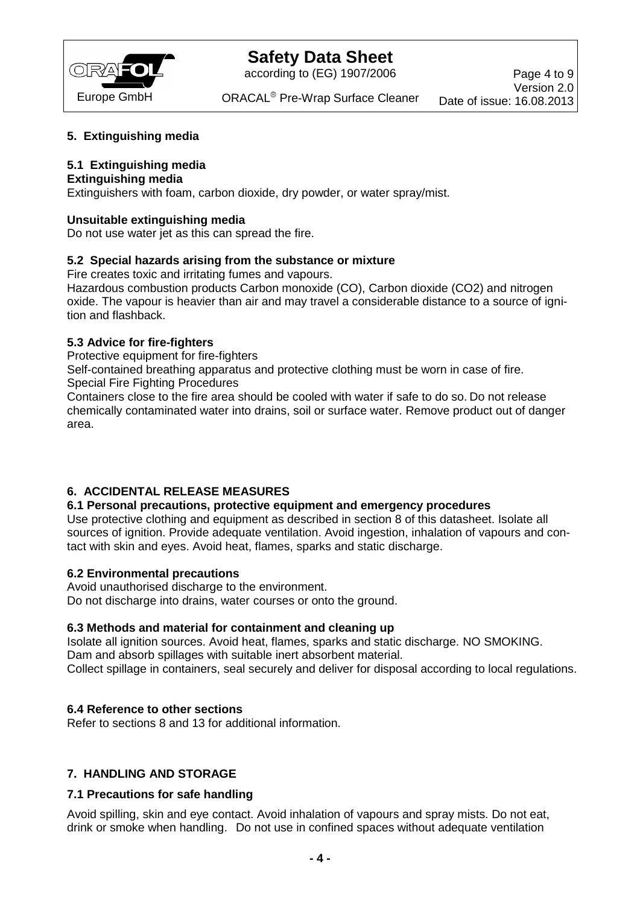

according to (EG) 1907/2006

Page 4 to 9 Version 2.0 Date of issue: 16.08.2013

ORACAL<sup>®</sup> Pre-Wrap Surface Cleaner

## **5. Extinguishing media**

# **5.1 Extinguishing media**

# **Extinguishing media**

Extinguishers with foam, carbon dioxide, dry powder, or water spray/mist.

## **Unsuitable extinguishing media**

Do not use water jet as this can spread the fire.

## **5.2 Special hazards arising from the substance or mixture**

Fire creates toxic and irritating fumes and vapours.

Hazardous combustion products Carbon monoxide (CO), Carbon dioxide (CO2) and nitrogen oxide. The vapour is heavier than air and may travel a considerable distance to a source of ignition and flashback.

## **5.3 Advice for fire-fighters**

Protective equipment for fire-fighters

Self-contained breathing apparatus and protective clothing must be worn in case of fire. Special Fire Fighting Procedures

Containers close to the fire area should be cooled with water if safe to do so. Do not release chemically contaminated water into drains, soil or surface water. Remove product out of danger area.

# **6. ACCIDENTAL RELEASE MEASURES**

#### **6.1 Personal precautions, protective equipment and emergency procedures**

Use protective clothing and equipment as described in section 8 of this datasheet. Isolate all sources of ignition. Provide adequate ventilation. Avoid ingestion, inhalation of vapours and contact with skin and eyes. Avoid heat, flames, sparks and static discharge.

#### **6.2 Environmental precautions**

Avoid unauthorised discharge to the environment. Do not discharge into drains, water courses or onto the ground.

#### **6.3 Methods and material for containment and cleaning up**

Isolate all ignition sources. Avoid heat, flames, sparks and static discharge. NO SMOKING. Dam and absorb spillages with suitable inert absorbent material. Collect spillage in containers, seal securely and deliver for disposal according to local regulations.

# **6.4 Reference to other sections**

Refer to sections 8 and 13 for additional information.

# **7. HANDLING AND STORAGE**

# **7.1 Precautions for safe handling**

Avoid spilling, skin and eye contact. Avoid inhalation of vapours and spray mists. Do not eat, drink or smoke when handling. Do not use in confined spaces without adequate ventilation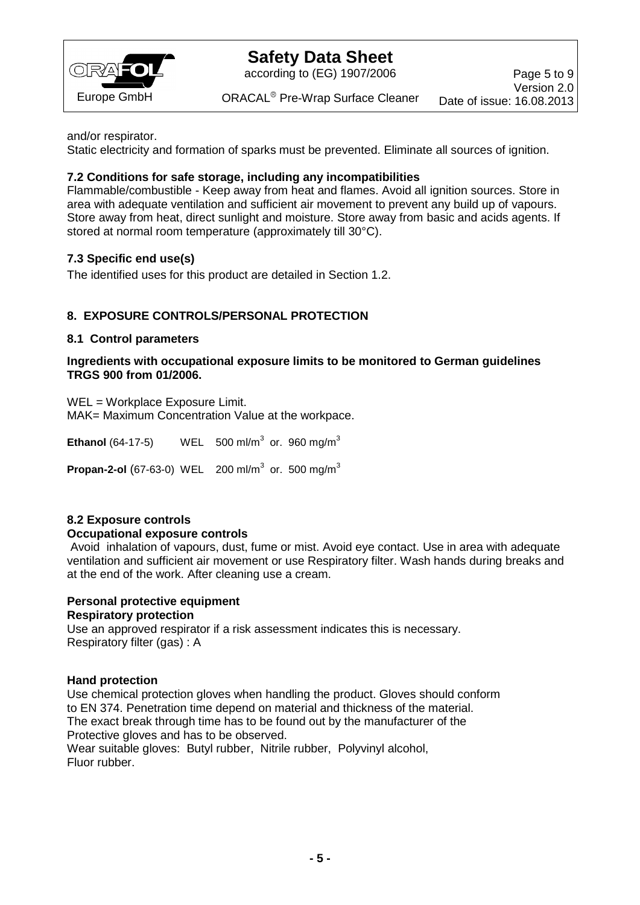

# **Safety Data Sheet** according to (EG) 1907/2006

ORACAL<sup>®</sup> Pre-Wrap Surface Cleaner

and/or respirator.

Static electricity and formation of sparks must be prevented. Eliminate all sources of ignition.

## **7.2 Conditions for safe storage, including any incompatibilities**

Flammable/combustible - Keep away from heat and flames. Avoid all ignition sources. Store in area with adequate ventilation and sufficient air movement to prevent any build up of vapours. Store away from heat, direct sunlight and moisture. Store away from basic and acids agents. If stored at normal room temperature (approximately till 30°C).

## **7.3 Specific end use(s)**

The identified uses for this product are detailed in Section 1.2.

# **8. EXPOSURE CONTROLS/PERSONAL PROTECTION**

#### **8.1 Control parameters**

**Ingredients with occupational exposure limits to be monitored to German guidelines TRGS 900 from 01/2006.**

WEL = Workplace Exposure Limit. MAK= Maximum Concentration Value at the workpace.

**Ethanol** (64-17-5) WEL  $500 \text{ m/m}^3$  or. 960 mg/m<sup>3</sup>

**Propan-2-ol** (67-63-0) WEL 200 ml/m<sup>3</sup> or. 500 mg/m<sup>3</sup>

#### **8.2 Exposure controls**

#### **Occupational exposure controls**

Avoid inhalation of vapours, dust, fume or mist. Avoid eye contact. Use in area with adequate ventilation and sufficient air movement or use Respiratory filter. Wash hands during breaks and at the end of the work. After cleaning use a cream.

#### **Personal protective equipment Respiratory protection**

Use an approved respirator if a risk assessment indicates this is necessary. Respiratory filter (gas) : A

#### **Hand protection**

Use chemical protection gloves when handling the product. Gloves should conform to EN 374. Penetration time depend on material and thickness of the material. The exact break through time has to be found out by the manufacturer of the Protective gloves and has to be observed. Wear suitable gloves: Butyl rubber, Nitrile rubber, Polyvinyl alcohol, Fluor rubber.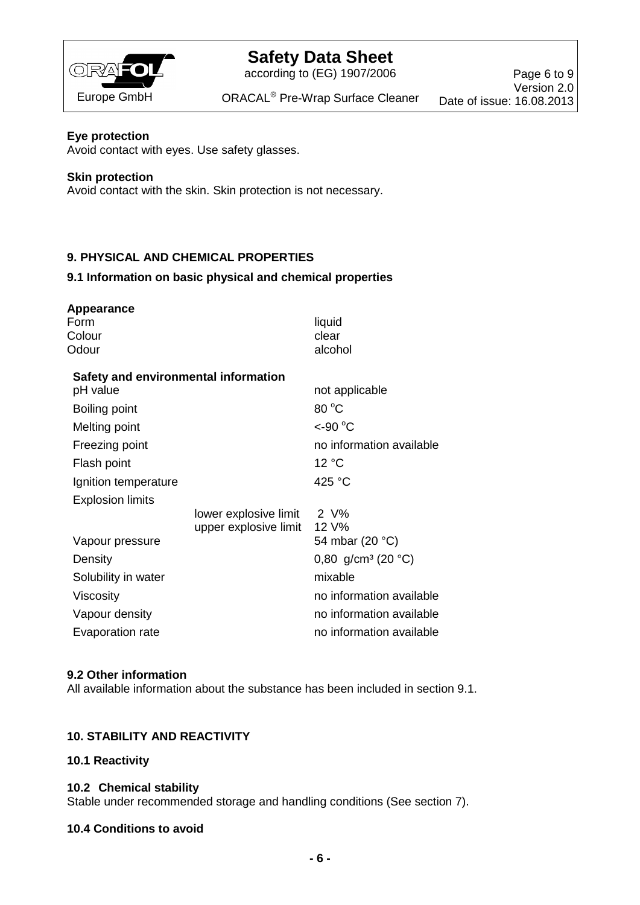

according to (EG) 1907/2006

Page 6 to 9 Version 2.0 Date of issue: 16.08.2013

ORACAL<sup>®</sup> Pre-Wrap Surface Cleaner

## **Eye protection**

Avoid contact with eyes. Use safety glasses.

#### **Skin protection**

Avoid contact with the skin. Skin protection is not necessary.

# **9. PHYSICAL AND CHEMICAL PROPERTIES**

## **9.1 Information on basic physical and chemical properties**

| Appearance<br>Form<br>Colour<br>Odour                                                                               |                                                     | liquid<br>clear<br>alcohol                                                                                                              |
|---------------------------------------------------------------------------------------------------------------------|-----------------------------------------------------|-----------------------------------------------------------------------------------------------------------------------------------------|
| Safety and environmental information<br>pH value<br>Boiling point<br>Melting point<br>Freezing point<br>Flash point |                                                     | not applicable<br>80 °C<br><-90 °C<br>no information available<br>12 °C                                                                 |
| Ignition temperature<br><b>Explosion limits</b>                                                                     | lower explosive limit 2 V%<br>upper explosive limit | 425 °C<br>12 V%                                                                                                                         |
| Vapour pressure<br>Density<br>Solubility in water<br>Viscosity<br>Vapour density<br>Evaporation rate                |                                                     | 54 mbar (20 °C)<br>0,80 $g/cm^3$ (20 °C)<br>mixable<br>no information available<br>no information available<br>no information available |

#### **9.2 Other information**

All available information about the substance has been included in section 9.1.

# **10. STABILITY AND REACTIVITY**

## **10.1 Reactivity**

#### **10.2 Chemical stability**

Stable under recommended storage and handling conditions (See section 7).

#### **10.4 Conditions to avoid**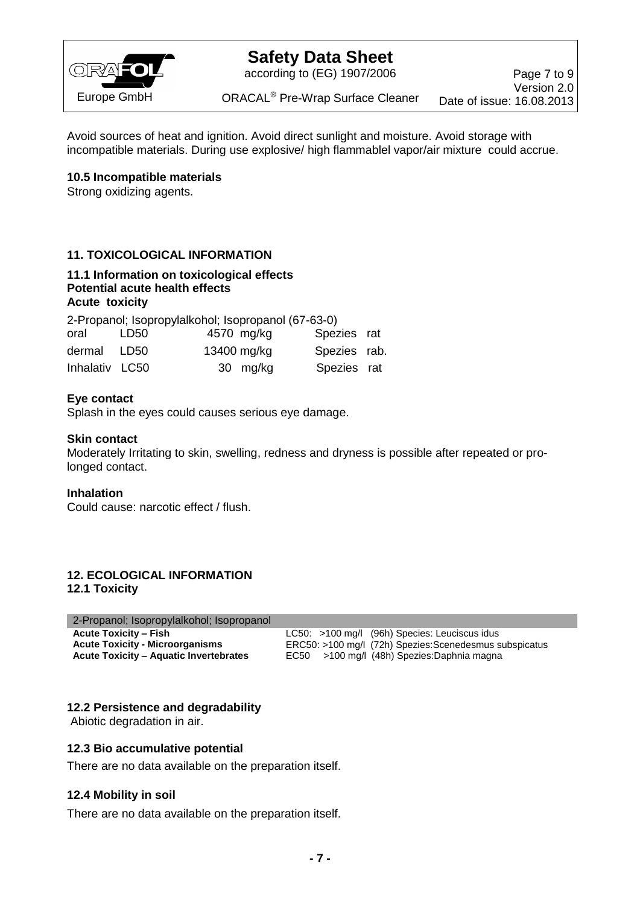

according to (EG) 1907/2006 ORACAL<sup>®</sup> Pre-Wrap Surface Cleaner

Page 7 to 9 Version 2.0 Date of issue: 16.08.2013

Avoid sources of heat and ignition. Avoid direct sunlight and moisture. Avoid storage with incompatible materials. During use explosive/ high flammablel vapor/air mixture could accrue.

#### **10.5 Incompatible materials**

Strong oxidizing agents.

## **11. TOXICOLOGICAL INFORMATION**

#### **11.1 Information on toxicological effects Potential acute health effects Acute toxicity**

2-Propanol; Isopropylalkohol; Isopropanol (67-63-0)

| oral           | LD50 | 4570 mg/kg  | Spezies rat  |  |
|----------------|------|-------------|--------------|--|
| dermal LD50    |      | 13400 mg/kg | Spezies rab. |  |
| Inhalativ LC50 |      | 30 mg/kg    | Spezies rat  |  |

#### **Eye contact**

Splash in the eyes could causes serious eye damage.

#### **Skin contact**

Moderately Irritating to skin, swelling, redness and dryness is possible after repeated or prolonged contact.

#### **Inhalation**

Could cause: narcotic effect / flush.

#### **12. ECOLOGICAL INFORMATION 12.1 Toxicity**

| 2-Propanol; Isopropylalkohol; Isopropanol     |                                                         |
|-----------------------------------------------|---------------------------------------------------------|
| <b>Acute Toxicity – Fish</b>                  | LC50: >100 mg/l (96h) Species: Leuciscus idus           |
| <b>Acute Toxicity - Microorganisms</b>        | ERC50: >100 mg/l (72h) Spezies: Scenedesmus subspicatus |
| <b>Acute Toxicity - Aquatic Invertebrates</b> | EC50 >100 mg/l (48h) Spezies: Daphnia magna             |

#### **12.2 Persistence and degradability**

Abiotic degradation in air.

#### **12.3 Bio accumulative potential**

There are no data available on the preparation itself.

#### **12.4 Mobility in soil**

There are no data available on the preparation itself.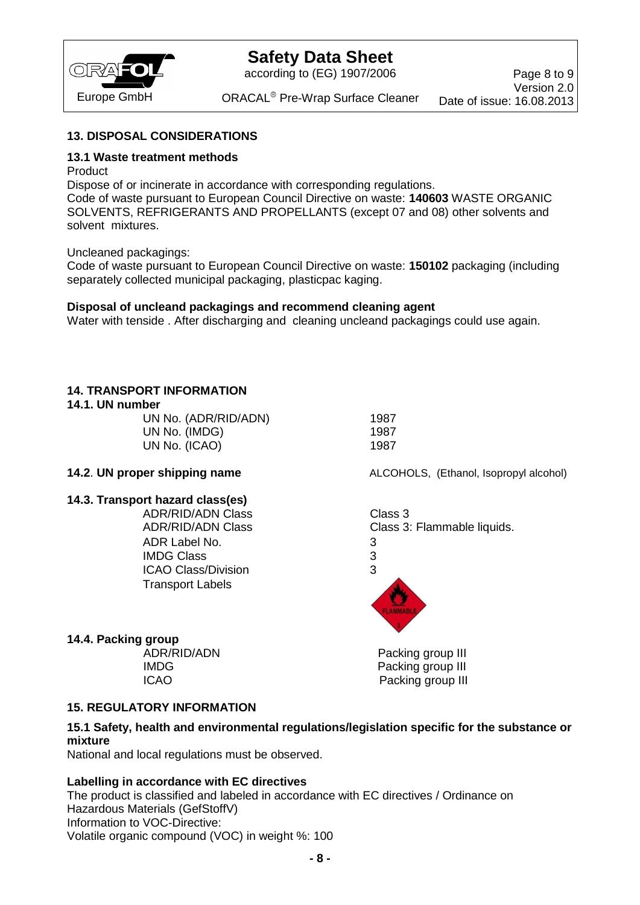

according to (EG) 1907/2006

Page 8 to 9 Version 2.0 Date of issue: 16.08.2013

ORACAL<sup>®</sup> Pre-Wrap Surface Cleaner

#### **13. DISPOSAL CONSIDERATIONS**

#### **13.1 Waste treatment methods**

Product

Dispose of or incinerate in accordance with corresponding regulations. Code of waste pursuant to European Council Directive on waste: **140603** WASTE ORGANIC SOLVENTS, REFRIGERANTS AND PROPELLANTS (except 07 and 08) other solvents and solvent mixtures.

Uncleaned packagings:

Code of waste pursuant to European Council Directive on waste: **150102** packaging (including separately collected municipal packaging, plasticpac kaging.

#### **Disposal of uncleand packagings and recommend cleaning agent**

Water with tenside . After discharging and cleaning uncleand packagings could use again.

#### **14. TRANSPORT INFORMATION**

**14.1. UN number**

UN No. (ADR/RID/ADN) 1987 UN No. (IMDG) 1987 UN No. (ICAO) 1987

**14.2**. **UN proper shipping name** ALCOHOLS, (Ethanol, Isopropyl alcohol)

#### **14.3. Transport hazard class(es)**

ADR/RID/ADN Class Class 3 ADR Label No. 3 IMDG Class 3 ICAO Class/Division 3 Transport Labels

#### **14.4. Packing group**

ADR/RID/ADN Class Class 3: Flammable liquids.



ADR/RID/ADN Packing group III IMDG **Packing group III** ICAO Packing group III

#### **15. REGULATORY INFORMATION**

**15.1 Safety, health and environmental regulations/legislation specific for the substance or mixture**

National and local regulations must be observed.

#### **Labelling in accordance with EC directives**

The product is classified and labeled in accordance with EC directives / Ordinance on Hazardous Materials (GefStoffV) Information to VOC-Directive: Volatile organic compound (VOC) in weight %: 100